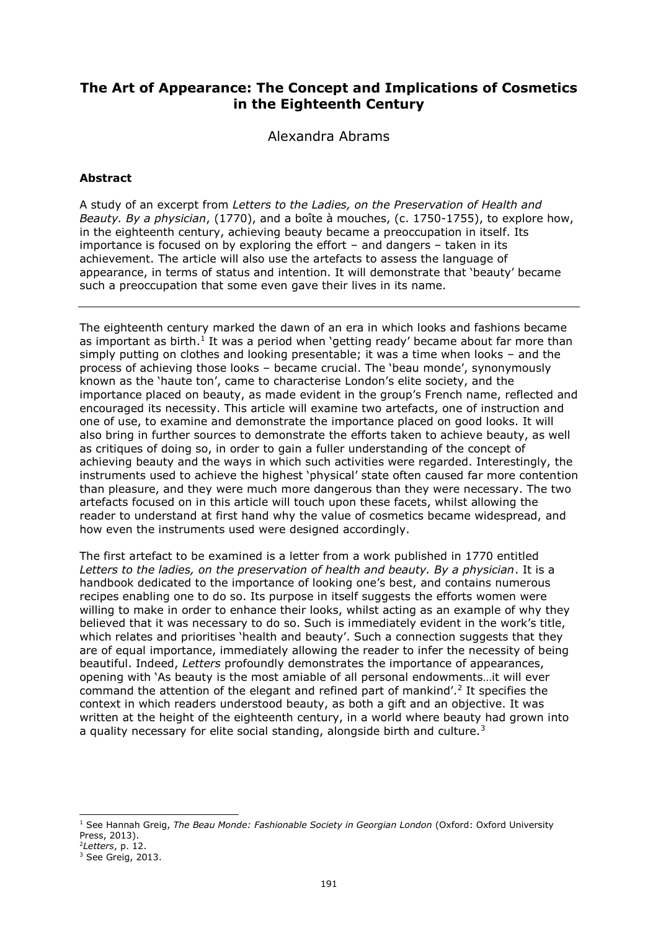# **The Art of Appearance: The Concept and Implications of Cosmetics in the Eighteenth Century**

Alexandra Abrams

## **Abstract**

A study of an excerpt from *Letters to the Ladies, on the Preservation of Health and Beauty. By a physician*, (1770), and a boîte à mouches, (c. 1750-1755), to explore how, in the eighteenth century, achieving beauty became a preoccupation in itself. Its importance is focused on by exploring the effort – and dangers – taken in its achievement. The article will also use the artefacts to assess the language of appearance, in terms of status and intention. It will demonstrate that 'beauty' became such a preoccupation that some even gave their lives in its name.

The eighteenth century marked the dawn of an era in which looks and fashions became as important as birth.<sup>1</sup> It was a period when 'getting ready' became about far more than simply putting on clothes and looking presentable; it was a time when looks – and the process of achieving those looks – became crucial. The 'beau monde', synonymously known as the 'haute ton', came to characterise London's elite society, and the importance placed on beauty, as made evident in the group's French name, reflected and encouraged its necessity. This article will examine two artefacts, one of instruction and one of use, to examine and demonstrate the importance placed on good looks. It will also bring in further sources to demonstrate the efforts taken to achieve beauty, as well as critiques of doing so, in order to gain a fuller understanding of the concept of achieving beauty and the ways in which such activities were regarded. Interestingly, the instruments used to achieve the highest 'physical' state often caused far more contention than pleasure, and they were much more dangerous than they were necessary. The two artefacts focused on in this article will touch upon these facets, whilst allowing the reader to understand at first hand why the value of cosmetics became widespread, and how even the instruments used were designed accordingly.

The first artefact to be examined is a letter from a work published in 1770 entitled *Letters to the ladies, on the preservation of health and beauty. By a physician*. It is a handbook dedicated to the importance of looking one's best, and contains numerous recipes enabling one to do so. Its purpose in itself suggests the efforts women were willing to make in order to enhance their looks, whilst acting as an example of why they believed that it was necessary to do so. Such is immediately evident in the work's title, which relates and prioritises 'health and beauty'. Such a connection suggests that they are of equal importance, immediately allowing the reader to infer the necessity of being beautiful. Indeed, *Letters* profoundly demonstrates the importance of appearances, opening with 'As beauty is the most amiable of all personal endowments…it will ever command the attention of the elegant and refined part of mankind'.<sup>2</sup> It specifies the context in which readers understood beauty, as both a gift and an objective. It was written at the height of the eighteenth century, in a world where beauty had grown into a quality necessary for elite social standing, alongside birth and culture.<sup>3</sup>

<sup>&</sup>lt;sup>1</sup> See Hannah Greig, *The Beau Monde: Fashionable Society in Georgian London* (Oxford: Oxford University Press, 2013).

<sup>2</sup>*Letters*, p. 12.

<sup>&</sup>lt;sup>3</sup> See Greig, 2013.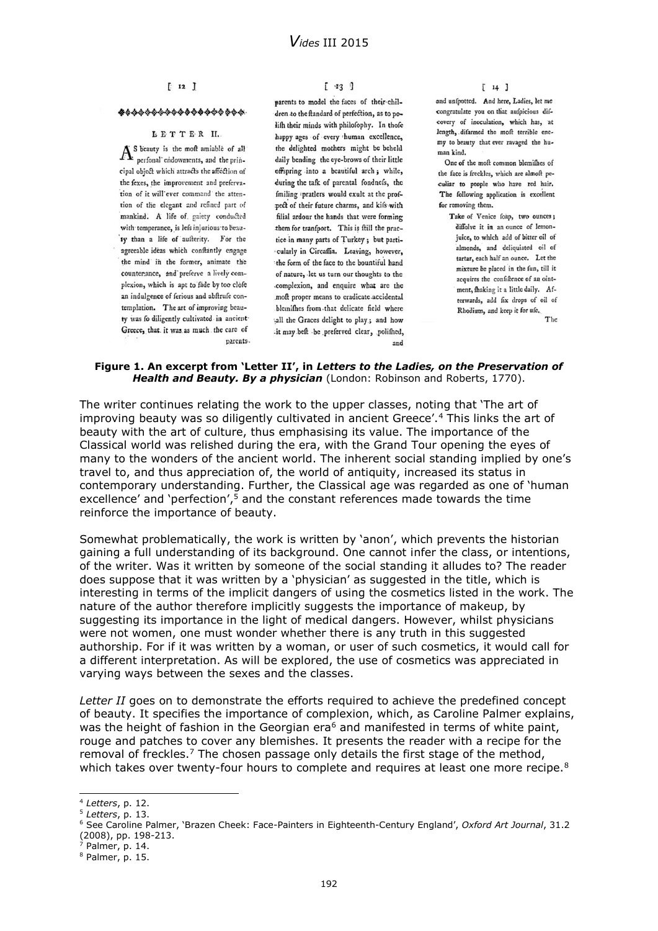### $[12]$

#### \*\*\*\*\*\*\*\*\*\*\*\*\*\*\*\*\*\*\*

#### LETTER II.

 $A<sup>s</sup>$  beauty is the moft amiable of all<br>perfonal endowments, and the principal object which attracts the affection of the fexes, the improvement and prefervation of it will ever command the attention of the elegant and refined part of mankind. A life of gaiety conducted with temperance, is lefs injurious to beau-'ty than a life of aufterity. For the agreeable ideas which conftantly engage the mind in the former, animate the counterance, and preferve a lively complexion, which is apt to fade by too clofe an indulgence of ferious and abftrufe contemplation. The art of improving beauty was fo diligently cultivated in ancient-Greece, that. it was as much the care of parents.  $[$   $\mathbf{Y}$ 3 ]

parents to model the faces of their children to the ftandard of perfection, as to polift their minds with philofophy. In thofe happy ages of every thuman excellence, the delighted mothers might be beheld daily bending the eye-brows of their little offspring into a beautiful arch; while, during the tafk of parental fondnefs, the fmiling pratlers would exult at the profpect of their future charms, and kifs with filial ardour the hands that were forming them for tranfport. This is ftill the practice in many parts of Turkey; but particularly in Circaffia. Leaving, however, the form of the face to the bountiful hand of nature, let us turn our thoughts to the complexion, and enquire what are the moft proper means to eradicate accidental blemifhes from that delicate field where sall the Graces delight to play; and how -it may beft be preferved clear, polifhed, and

 $[14]$ 

and unfpotted. And here, Ladies, let me congratulate you on that aufpicious difcovery of inoculation, which has, at length, difarmed the moft terrible enemy to beauty that ever ravaged the human kind.

One of the moft common blemifhes of the face is freckles, which are almoft peculiar to people who have red hair. The following application is excellent for removing them.

Take of Venice foap, two ounces; diffolve it in an ounce of lemonjuice, to which add of bitter oil of almonds, and deliquiated oil of tartar, each half an ounce. Let the mixture be placed in the fun, till it acquires the confiftence of an ointment, fhaking it a little daily. Afterwards, add fix drops of oil of Rhodium, and keep it for ufe. The

#### **Figure 1. An excerpt from 'Letter II', in** *Letters to the Ladies, on the Preservation of Health and Beauty. By a physician* (London: Robinson and Roberts, 1770).

The writer continues relating the work to the upper classes, noting that 'The art of improving beauty was so diligently cultivated in ancient Greece'.<sup>4</sup> This links the art of beauty with the art of culture, thus emphasising its value. The importance of the Classical world was relished during the era, with the Grand Tour opening the eyes of many to the wonders of the ancient world. The inherent social standing implied by one's travel to, and thus appreciation of, the world of antiquity, increased its status in contemporary understanding. Further, the Classical age was regarded as one of 'human excellence' and 'perfection',<sup>5</sup> and the constant references made towards the time reinforce the importance of beauty.

Somewhat problematically, the work is written by 'anon', which prevents the historian gaining a full understanding of its background. One cannot infer the class, or intentions, of the writer. Was it written by someone of the social standing it alludes to? The reader does suppose that it was written by a 'physician' as suggested in the title, which is interesting in terms of the implicit dangers of using the cosmetics listed in the work. The nature of the author therefore implicitly suggests the importance of makeup, by suggesting its importance in the light of medical dangers. However, whilst physicians were not women, one must wonder whether there is any truth in this suggested authorship. For if it was written by a woman, or user of such cosmetics, it would call for a different interpretation. As will be explored, the use of cosmetics was appreciated in varying ways between the sexes and the classes.

*Letter II* goes on to demonstrate the efforts required to achieve the predefined concept of beauty. It specifies the importance of complexion, which, as Caroline Palmer explains, was the height of fashion in the Georgian era<sup>6</sup> and manifested in terms of white paint, rouge and patches to cover any blemishes. It presents the reader with a recipe for the removal of freckles.<sup>7</sup> The chosen passage only details the first stage of the method, which takes over twenty-four hours to complete and requires at least one more recipe.<sup>8</sup>

<sup>4</sup> *Letters*, p. 12.

<sup>5</sup> *Letters*, p. 13.

<sup>6</sup> See Caroline Palmer, 'Brazen Cheek: Face-Painters in Eighteenth-Century England', *Oxford Art Journal*, 31.2 (2008), pp. 198-213.

 $<sup>7</sup>$  Palmer, p. 14.</sup>

<sup>8</sup> Palmer, p. 15.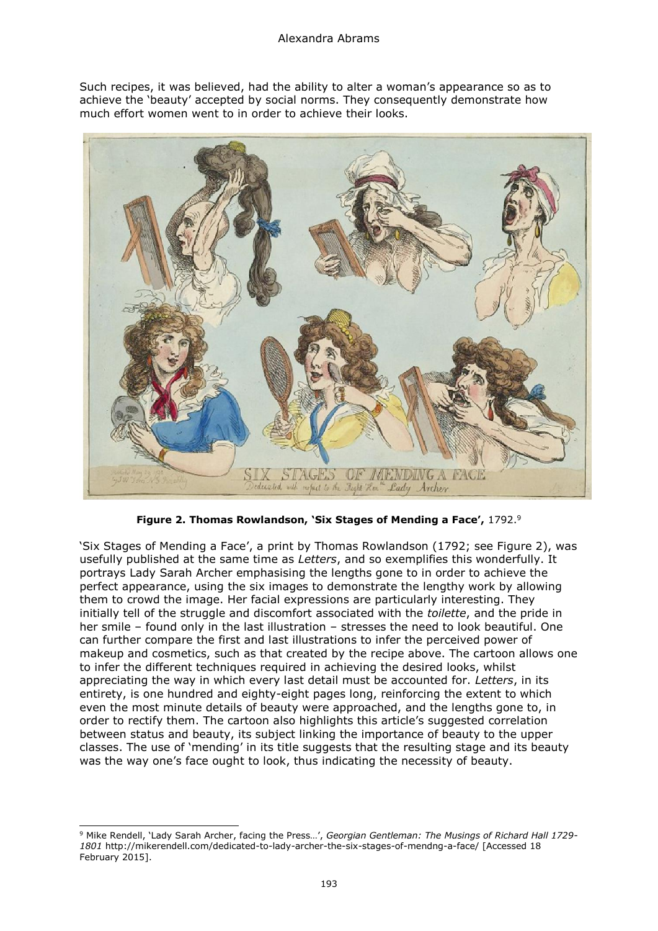Such recipes, it was believed, had the ability to alter a woman's appearance so as to achieve the 'beauty' accepted by social norms. They consequently demonstrate how much effort women went to in order to achieve their looks.



**Figure 2. Thomas Rowlandson, 'Six Stages of Mending a Face',** 1792.<sup>9</sup>

'Six Stages of Mending a Face', a print by Thomas Rowlandson (1792; see Figure 2), was usefully published at the same time as *Letters*, and so exemplifies this wonderfully. It portrays Lady Sarah Archer emphasising the lengths gone to in order to achieve the perfect appearance, using the six images to demonstrate the lengthy work by allowing them to crowd the image. Her facial expressions are particularly interesting. They initially tell of the struggle and discomfort associated with the *toilette*, and the pride in her smile – found only in the last illustration – stresses the need to look beautiful. One can further compare the first and last illustrations to infer the perceived power of makeup and cosmetics, such as that created by the recipe above. The cartoon allows one to infer the different techniques required in achieving the desired looks, whilst appreciating the way in which every last detail must be accounted for. *Letters*, in its entirety, is one hundred and eighty-eight pages long, reinforcing the extent to which even the most minute details of beauty were approached, and the lengths gone to, in order to rectify them. The cartoon also highlights this article's suggested correlation between status and beauty, its subject linking the importance of beauty to the upper classes. The use of 'mending' in its title suggests that the resulting stage and its beauty was the way one's face ought to look, thus indicating the necessity of beauty.

<sup>9</sup> Mike Rendell, 'Lady Sarah Archer, facing the Press…', *Georgian Gentleman: The Musings of Richard Hall 1729- 1801* <http://mikerendell.com/dedicated-to-lady-archer-the-six-stages-of-mendng-a-face/> [Accessed 18 February 2015].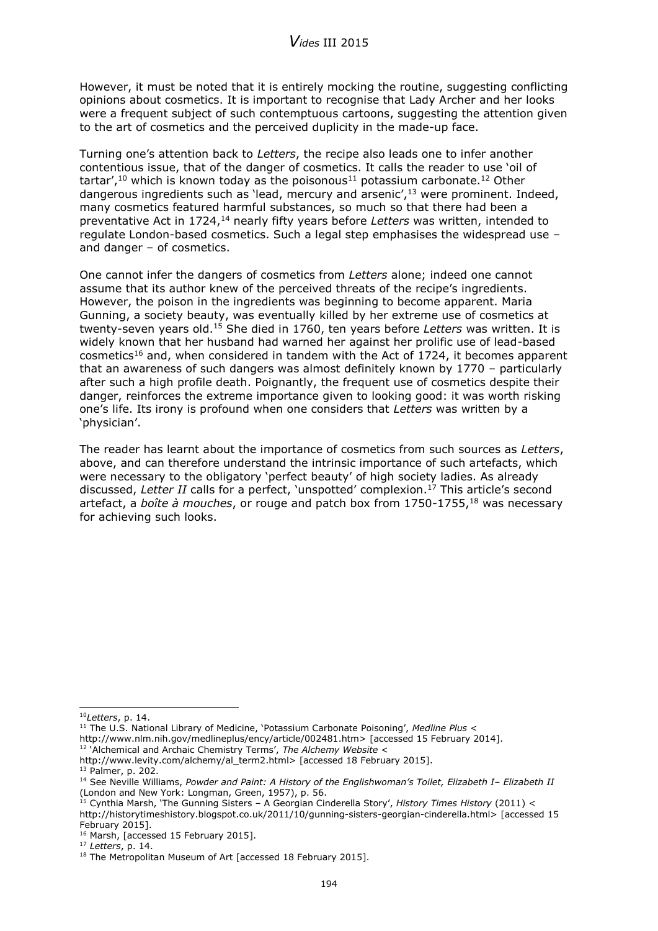However, it must be noted that it is entirely mocking the routine, suggesting conflicting opinions about cosmetics. It is important to recognise that Lady Archer and her looks were a frequent subject of such contemptuous cartoons, suggesting the attention given to the art of cosmetics and the perceived duplicity in the made-up face.

Turning one's attention back to *Letters*, the recipe also leads one to infer another contentious issue, that of the danger of cosmetics. It calls the reader to use 'oil of tartar',<sup>10</sup> which is known today as the poisonous<sup>11</sup> potassium carbonate.<sup>12</sup> Other dangerous ingredients such as 'lead, mercury and arsenic',<sup>13</sup> were prominent. Indeed, many cosmetics featured harmful substances, so much so that there had been a preventative Act in 1724,<sup>14</sup> nearly fifty years before Letters was written, intended to regulate London-based cosmetics. Such a legal step emphasises the widespread use – and danger – of cosmetics.

One cannot infer the dangers of cosmetics from *Letters* alone; indeed one cannot assume that its author knew of the perceived threats of the recipe's ingredients. However, the poison in the ingredients was beginning to become apparent. Maria Gunning, a society beauty, was eventually killed by her extreme use of cosmetics at twenty-seven years old.<sup>15</sup> She died in 1760, ten years before *Letters* was written. It is widely known that her husband had warned her against her prolific use of lead-based cosmetics<sup>16</sup> and, when considered in tandem with the Act of 1724, it becomes apparent that an awareness of such dangers was almost definitely known by 1770 – particularly after such a high profile death. Poignantly, the frequent use of cosmetics despite their danger, reinforces the extreme importance given to looking good: it was worth risking one's life. Its irony is profound when one considers that *Letters* was written by a 'physician'.

The reader has learnt about the importance of cosmetics from such sources as *Letters*, above, and can therefore understand the intrinsic importance of such artefacts, which were necessary to the obligatory 'perfect beauty' of high society ladies. As already discussed, Letter II calls for a perfect, 'unspotted' complexion.<sup>17</sup> This article's second artefact, a *boîte à mouches*, or rouge and patch box from 1750-1755,<sup>18</sup> was necessary for achieving such looks.

<sup>12</sup> 'Alchemical and Archaic Chemistry Terms', *The Alchemy Website* <

<sup>-</sup><sup>10</sup>*Letters*, p. 14.

<sup>11</sup> The U.S. National Library of Medicine, 'Potassium Carbonate Poisoning', *Medline Plus* <

[http://www.nlm.nih.gov/medlineplus/ency/article/002481.htm>](http://www.nlm.nih.gov/medlineplus/ency/article/002481.htm) [accessed 15 February 2014].

[http://www.levity.com/alchemy/al\\_term2.html>](http://www.levity.com/alchemy/al_term2.html) [accessed 18 February 2015].

<sup>13</sup> Palmer, p. 202.

<sup>14</sup> See Neville Williams, *Powder and Paint: A History of the Englishwoman's Toilet, Elizabeth I– Elizabeth II* (London and New York: Longman, Green, 1957), p. 56.

<sup>15</sup> Cynthia Marsh, 'The Gunning Sisters – A Georgian Cinderella Story', *History Times History* (2011) < [http://historytimeshistory.blogspot.co.uk/2011/10/gunning-sisters-georgian-cinderella.html>](http://historytimeshistory.blogspot.co.uk/2011/10/gunning-sisters-georgian-cinderella.html) [accessed 15 February 2015].

<sup>&</sup>lt;sup>16</sup> Marsh, [accessed 15 February 2015].

<sup>17</sup> *Letters*, p. 14.

<sup>&</sup>lt;sup>18</sup> The Metropolitan Museum of Art [accessed 18 February 2015].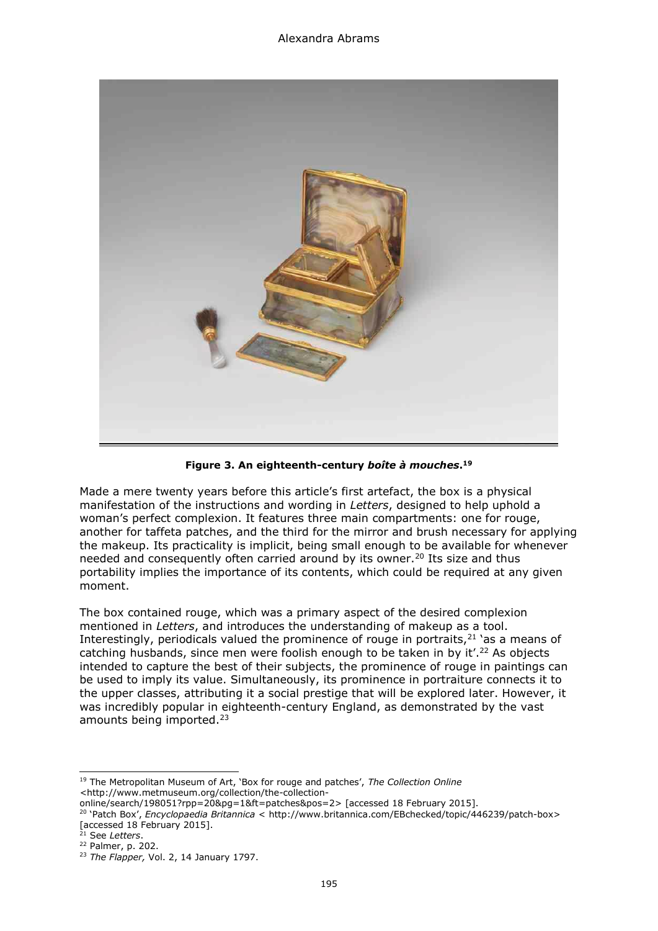

**Figure 3. An eighteenth-century** *boîte à mouches***. 19**

Made a mere twenty years before this article's first artefact, the box is a physical manifestation of the instructions and wording in *Letters*, designed to help uphold a woman's perfect complexion. It features three main compartments: one for rouge, another for taffeta patches, and the third for the mirror and brush necessary for applying the makeup. Its practicality is implicit, being small enough to be available for whenever needed and consequently often carried around by its owner.<sup>20</sup> Its size and thus portability implies the importance of its contents, which could be required at any given moment.

The box contained rouge, which was a primary aspect of the desired complexion mentioned in *Letters*, and introduces the understanding of makeup as a tool. Interestingly, periodicals valued the prominence of rouge in portraits, $21$  'as a means of catching husbands, since men were foolish enough to be taken in by it<sup>',22</sup> As objects intended to capture the best of their subjects, the prominence of rouge in paintings can be used to imply its value. Simultaneously, its prominence in portraiture connects it to the upper classes, attributing it a social prestige that will be explored later. However, it was incredibly popular in eighteenth-century England, as demonstrated by the vast amounts being imported.<sup>23</sup>

<sup>-</sup><sup>19</sup> The Metropolitan Museum of Art, 'Box for rouge and patches', *The Collection Online <*http://www.metmuseum.org/collection/the-collection-

online/search/198051?rpp=20&pg=1&ft=patches&pos=2> [accessed 18 February 2015].

<sup>20</sup> 'Patch Box', *Encyclopaedia Britannica* < [http://www.britannica.com/EBchecked/topic/446239/patch-box>](http://www.britannica.com/EBchecked/topic/446239/patch-box) [accessed 18 February 2015].

<sup>21</sup> See *Letters*.

<sup>22</sup> Palmer, p. 202.

<sup>23</sup> *The Flapper,* Vol. 2, 14 January 1797.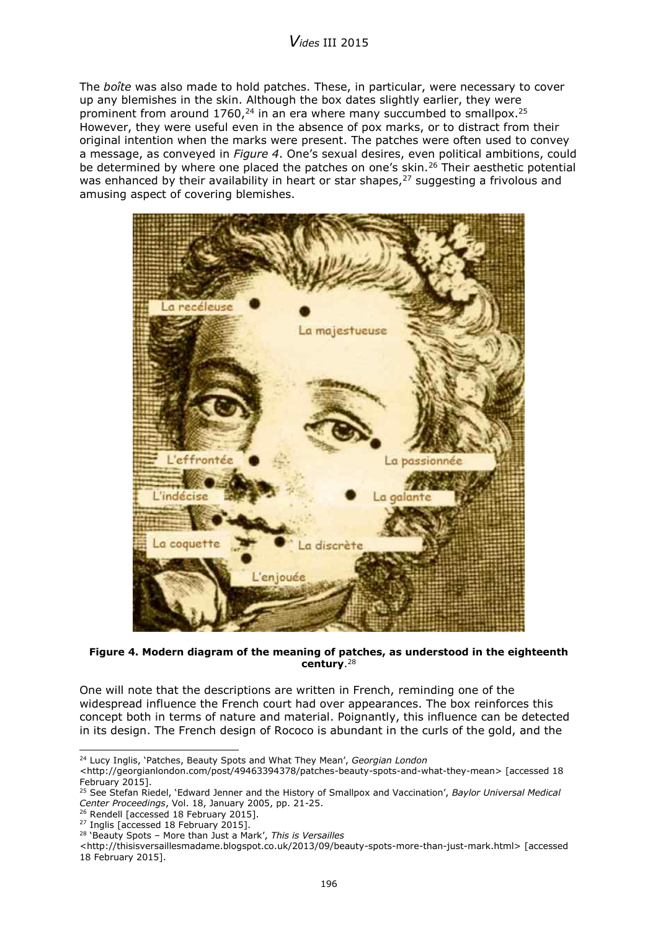# *Vides* III 2015

The *boîte* was also made to hold patches. These, in particular, were necessary to cover up any blemishes in the skin. Although the box dates slightly earlier, they were prominent from around  $1760<sub>1</sub><sup>24</sup>$  in an era where many succumbed to smallpox.<sup>25</sup> However, they were useful even in the absence of pox marks, or to distract from their original intention when the marks were present. The patches were often used to convey a message, as conveyed in *Figure 4*. One's sexual desires, even political ambitions, could be determined by where one placed the patches on one's skin.<sup>26</sup> Their aesthetic potential was enhanced by their availability in heart or star shapes,<sup>27</sup> suggesting a frivolous and amusing aspect of covering blemishes.



**Figure 4. Modern diagram of the meaning of patches, as understood in the eighteenth century**. 28

One will note that the descriptions are written in French, reminding one of the widespread influence the French court had over appearances. The box reinforces this concept both in terms of nature and material. Poignantly, this influence can be detected in its design. The French design of Rococo is abundant in the curls of the gold, and the

<sup>24</sup> Lucy Inglis, 'Patches, Beauty Spots and What They Mean', *Georgian London* 

[<sup>&</sup>lt;http://georgianlondon.com/post/49463394378/patches-beauty-spots-and-what-they-mean>](http://georgianlondon.com/post/49463394378/patches-beauty-spots-and-what-they-mean) [accessed 18 February 2015].

<sup>25</sup> See Stefan Riedel, 'Edward Jenner and the History of Smallpox and Vaccination', *Baylor Universal Medical Center Proceedings*, Vol. 18, January 2005, pp. 21-25.

<sup>&</sup>lt;sup>26</sup> Rendell [accessed 18 February 2015].

<sup>&</sup>lt;sup>27</sup> Inglis [accessed 18 February 2015].

<sup>28</sup> 'Beauty Spots – More than Just a Mark', *This is Versailles* 

<sup>&</sup>lt;http://thisisversaillesmadame.blogspot.co.uk/2013/09/beauty-spots-more-than-just-mark.html> [accessed 18 February 2015].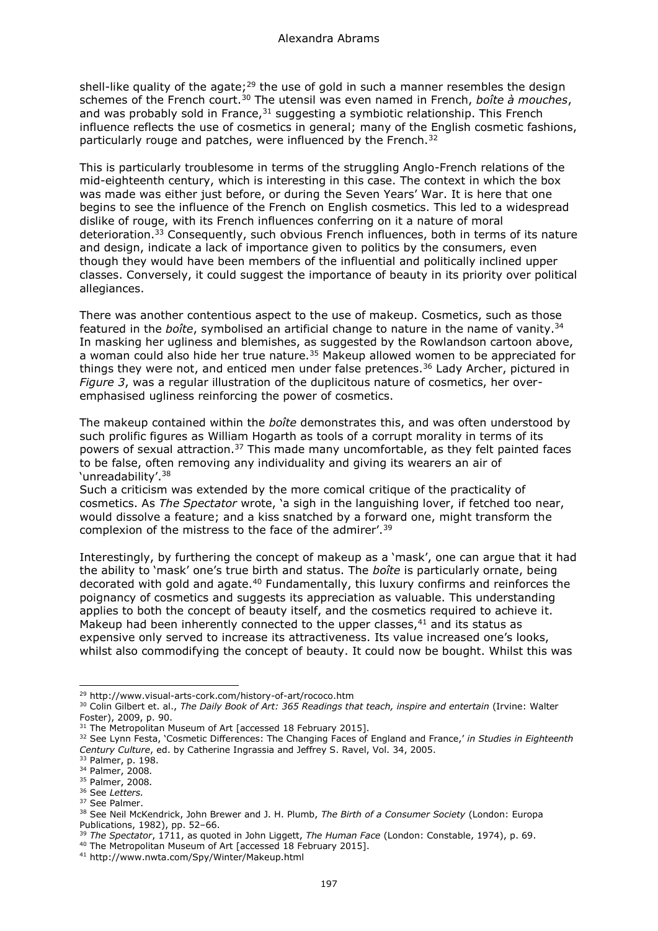shell-like quality of the agate;<sup>29</sup> the use of gold in such a manner resembles the design schemes of the French court.<sup>30</sup> The utensil was even named in French, *boîte à mouches*, and was probably sold in France, $31$  suggesting a symbiotic relationship. This French influence reflects the use of cosmetics in general; many of the English cosmetic fashions, particularly rouge and patches, were influenced by the French.<sup>32</sup>

This is particularly troublesome in terms of the struggling Anglo-French relations of the mid-eighteenth century, which is interesting in this case. The context in which the box was made was either just before, or during the Seven Years' War. It is here that one begins to see the influence of the French on English cosmetics. This led to a widespread dislike of rouge, with its French influences conferring on it a nature of moral deterioration.<sup>33</sup> Consequently, such obvious French influences, both in terms of its nature and design, indicate a lack of importance given to politics by the consumers, even though they would have been members of the influential and politically inclined upper classes. Conversely, it could suggest the importance of beauty in its priority over political allegiances.

There was another contentious aspect to the use of makeup. Cosmetics, such as those featured in the *boîte*, symbolised an artificial change to nature in the name of vanity.<sup>34</sup> In masking her ugliness and blemishes, as suggested by the Rowlandson cartoon above, a woman could also hide her true nature.<sup>35</sup> Makeup allowed women to be appreciated for things they were not, and enticed men under false pretences.<sup>36</sup> Lady Archer, pictured in *Figure 3*, was a regular illustration of the duplicitous nature of cosmetics, her overemphasised ugliness reinforcing the power of cosmetics.

The makeup contained within the *boîte* demonstrates this, and was often understood by such prolific figures as William Hogarth as tools of a corrupt morality in terms of its powers of sexual attraction. $37$  This made many uncomfortable, as they felt painted faces to be false, often removing any individuality and giving its wearers an air of 'unreadability'.<sup>38</sup>

Such a criticism was extended by the more comical critique of the practicality of cosmetics. As *The Spectator* wrote, 'a sigh in the languishing lover, if fetched too near, would dissolve a feature; and a kiss snatched by a forward one, might transform the complexion of the mistress to the face of the admirer'.<sup>39</sup>

Interestingly, by furthering the concept of makeup as a 'mask', one can argue that it had the ability to 'mask' one's true birth and status. The *boîte* is particularly ornate, being decorated with gold and agate.<sup>40</sup> Fundamentally, this luxury confirms and reinforces the poignancy of cosmetics and suggests its appreciation as valuable. This understanding applies to both the concept of beauty itself, and the cosmetics required to achieve it. Makeup had been inherently connected to the upper classes, $41$  and its status as expensive only served to increase its attractiveness. Its value increased one's looks, whilst also commodifying the concept of beauty. It could now be bought. Whilst this was

i, <sup>29</sup> <http://www.visual-arts-cork.com/history-of-art/rococo.htm>

<sup>&</sup>lt;sup>30</sup> Colin Gilbert et. al., *The Daily Book of Art: 365 Readings that teach, inspire and entertain (Irvine: Walter* Foster), 2009, p. 90.

<sup>&</sup>lt;sup>31</sup> The Metropolitan Museum of Art [accessed 18 February 2015].

<sup>32</sup> See Lynn Festa, 'Cosmetic Differences: The Changing Faces of England and France,' *in Studies in Eighteenth Century Culture*, ed. by Catherine Ingrassia and Jeffrey S. Ravel, Vol. 34, 2005.

<sup>33</sup> Palmer, p. 198.

<sup>34</sup> Palmer, 2008*.*

<sup>35</sup> Palmer, 2008*.*

<sup>36</sup> See *Letters.*

<sup>&</sup>lt;sup>37</sup> See Palmer.

<sup>38</sup> See Neil McKendrick, John Brewer and J. H. Plumb, *The Birth of a Consumer Society* (London: Europa Publications, 1982), pp. 52–66.

<sup>39</sup> *The Spectator*, 1711, as quoted in John Liggett, *The Human Face* (London: Constable, 1974), p. 69.

<sup>&</sup>lt;sup>40</sup> The Metropolitan Museum of Art [accessed 18 February 2015].

<sup>41</sup> http://www.nwta.com/Spy/Winter/Makeup.html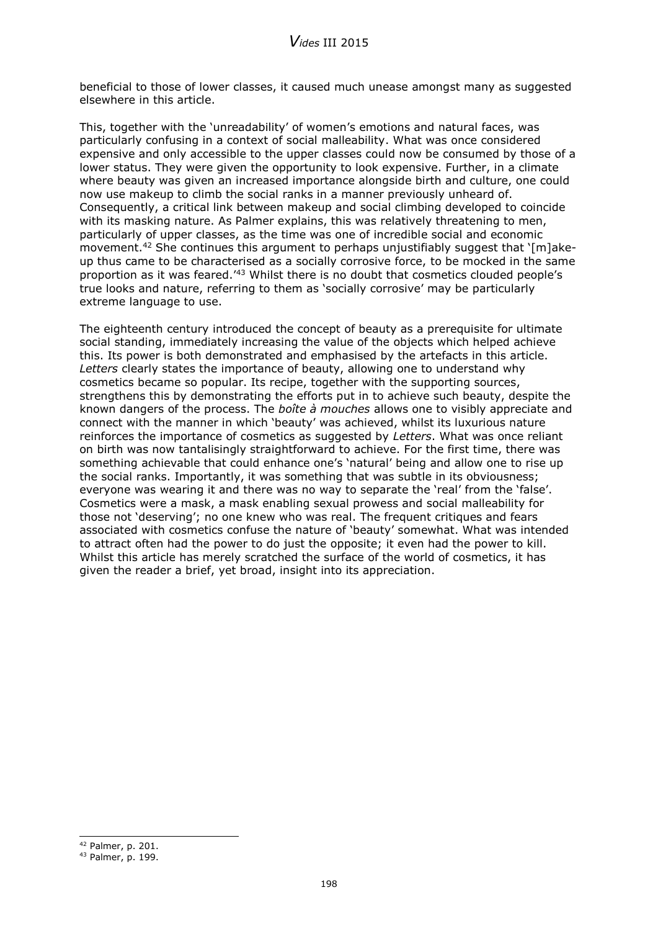beneficial to those of lower classes, it caused much unease amongst many as suggested elsewhere in this article.

This, together with the 'unreadability' of women's emotions and natural faces, was particularly confusing in a context of social malleability. What was once considered expensive and only accessible to the upper classes could now be consumed by those of a lower status. They were given the opportunity to look expensive. Further, in a climate where beauty was given an increased importance alongside birth and culture, one could now use makeup to climb the social ranks in a manner previously unheard of. Consequently, a critical link between makeup and social climbing developed to coincide with its masking nature. As Palmer explains, this was relatively threatening to men, particularly of upper classes, as the time was one of incredible social and economic movement.<sup>42</sup> She continues this argument to perhaps unjustifiably suggest that  $\lceil m \rceil$ akeup thus came to be characterised as a socially corrosive force, to be mocked in the same proportion as it was feared.'<sup>43</sup> Whilst there is no doubt that cosmetics clouded people's true looks and nature, referring to them as 'socially corrosive' may be particularly extreme language to use.

The eighteenth century introduced the concept of beauty as a prerequisite for ultimate social standing, immediately increasing the value of the objects which helped achieve this. Its power is both demonstrated and emphasised by the artefacts in this article. *Letters* clearly states the importance of beauty, allowing one to understand why cosmetics became so popular. Its recipe, together with the supporting sources, strengthens this by demonstrating the efforts put in to achieve such beauty, despite the known dangers of the process. The *boîte à mouches* allows one to visibly appreciate and connect with the manner in which 'beauty' was achieved, whilst its luxurious nature reinforces the importance of cosmetics as suggested by *Letters*. What was once reliant on birth was now tantalisingly straightforward to achieve. For the first time, there was something achievable that could enhance one's 'natural' being and allow one to rise up the social ranks. Importantly, it was something that was subtle in its obviousness; everyone was wearing it and there was no way to separate the 'real' from the 'false'. Cosmetics were a mask, a mask enabling sexual prowess and social malleability for those not 'deserving'; no one knew who was real. The frequent critiques and fears associated with cosmetics confuse the nature of 'beauty' somewhat. What was intended to attract often had the power to do just the opposite; it even had the power to kill. Whilst this article has merely scratched the surface of the world of cosmetics, it has given the reader a brief, yet broad, insight into its appreciation.

<sup>-</sup><sup>42</sup> Palmer, p. 201.

<sup>43</sup> Palmer, p. 199.